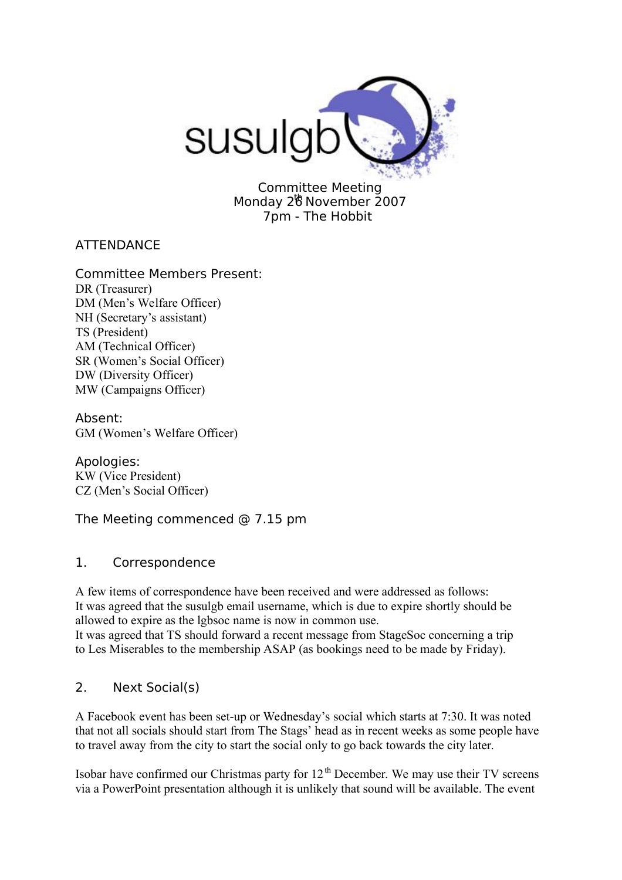

Committee Meeting Monday 26 November 2007 7pm - The Hobbit

**ATTENDANCE** 

Committee Members Present: DR (Treasurer) DM (Men's Welfare Officer) NH (Secretary's assistant) TS (President) AM (Technical Officer) SR (Women's Social Officer) DW (Diversity Officer) MW (Campaigns Officer)

Absent: GM (Women's Welfare Officer)

Apologies: KW (Vice President) CZ (Men's Social Officer)

The Meeting commenced @ 7.15 pm

### 1. Correspondence

A few items of correspondence have been received and were addressed as follows: It was agreed that the susulgb email username, which is due to expire shortly should be allowed to expire as the lgbsoc name is now in common use.

It was agreed that TS should forward a recent message from StageSoc concerning a trip to Les Miserables to the membership ASAP (as bookings need to be made by Friday).

# 2. Next Social(s)

A Facebook event has been set-up or Wednesday's social which starts at 7:30. It was noted that not all socials should start from The Stags' head as in recent weeks as some people have to travel away from the city to start the social only to go back towards the city later.

Isobar have confirmed our Christmas party for  $12<sup>th</sup>$  December. We may use their TV screens via a PowerPoint presentation although it is unlikely that sound will be available. The event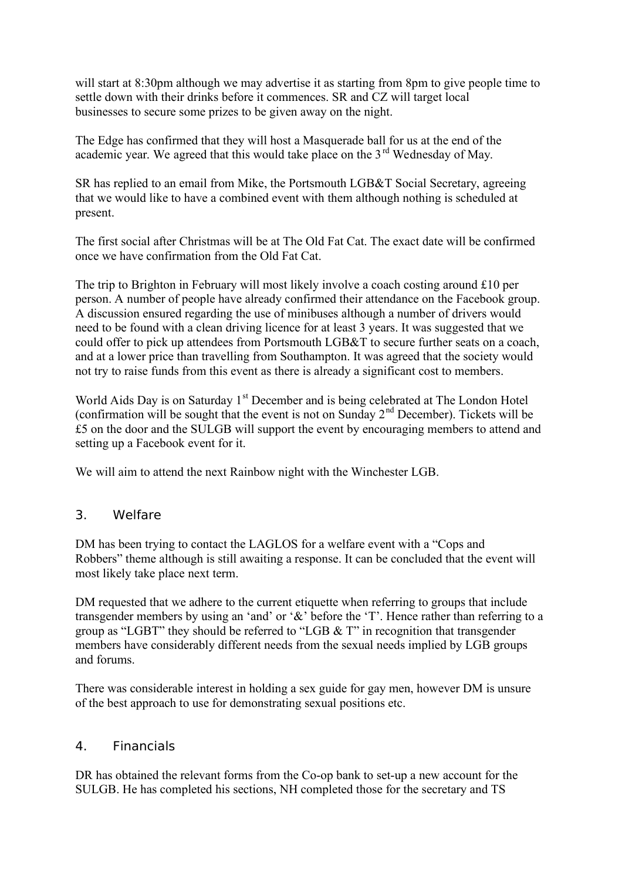will start at 8:30pm although we may advertise it as starting from 8pm to give people time to settle down with their drinks before it commences. SR and CZ will target local businesses to secure some prizes to be given away on the night.

The Edge has confirmed that they will host a Masquerade ball for us at the end of the academic year. We agreed that this would take place on the  $3<sup>rd</sup>$  Wednesday of May.

SR has replied to an email from Mike, the Portsmouth LGB&T Social Secretary, agreeing that we would like to have a combined event with them although nothing is scheduled at present.

The first social after Christmas will be at The Old Fat Cat. The exact date will be confirmed once we have confirmation from the Old Fat Cat.

The trip to Brighton in February will most likely involve a coach costing around £10 per person. A number of people have already confirmed their attendance on the Facebook group. A discussion ensured regarding the use of minibuses although a number of drivers would need to be found with a clean driving licence for at least 3 years. It was suggested that we could offer to pick up attendees from Portsmouth LGB&T to secure further seats on a coach, and at a lower price than travelling from Southampton. It was agreed that the society would not try to raise funds from this event as there is already a significant cost to members.

World Aids Day is on Saturday 1<sup>st</sup> December and is being celebrated at The London Hotel (confirmation will be sought that the event is not on Sunday  $2<sup>nd</sup>$  December). Tickets will be £5 on the door and the SULGB will support the event by encouraging members to attend and setting up a Facebook event for it.

We will aim to attend the next Rainbow night with the Winchester LGB.

### 3. Welfare

DM has been trying to contact the LAGLOS for a welfare event with a "Cops and Robbers" theme although is still awaiting a response. It can be concluded that the event will most likely take place next term.

DM requested that we adhere to the current etiquette when referring to groups that include transgender members by using an 'and' or '&' before the 'T'. Hence rather than referring to a group as "LGBT" they should be referred to "LGB & T" in recognition that transgender members have considerably different needs from the sexual needs implied by LGB groups and forums.

There was considerable interest in holding a sex guide for gay men, however DM is unsure of the best approach to use for demonstrating sexual positions etc.

#### 4. Financials

DR has obtained the relevant forms from the Co-op bank to set-up a new account for the SULGB. He has completed his sections, NH completed those for the secretary and TS